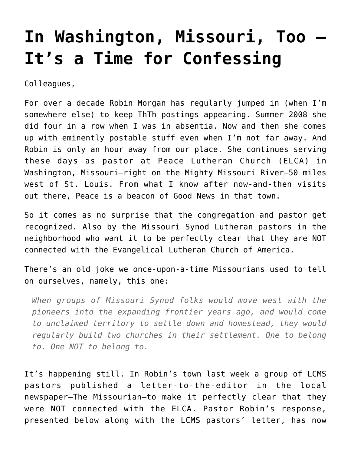## **[In Washington, Missouri, Too —](https://crossings.org/in-washington-missouri-too-its-a-time-for-confessing/) [It's a Time for Confessing](https://crossings.org/in-washington-missouri-too-its-a-time-for-confessing/)**

Colleagues,

For over a decade Robin Morgan has regularly jumped in (when I'm somewhere else) to keep ThTh postings appearing. Summer 2008 she did four in a row when I was in absentia. Now and then she comes up with eminently postable stuff even when I'm not far away. And Robin is only an hour away from our place. She continues serving these days as pastor at Peace Lutheran Church (ELCA) in Washington, Missouri–right on the Mighty Missouri River–50 miles west of St. Louis. From what I know after now-and-then visits out there, Peace is a beacon of Good News in that town.

So it comes as no surprise that the congregation and pastor get recognized. Also by the Missouri Synod Lutheran pastors in the neighborhood who want it to be perfectly clear that they are NOT connected with the Evangelical Lutheran Church of America.

There's an old joke we once-upon-a-time Missourians used to tell on ourselves, namely, this one:

*When groups of Missouri Synod folks would move west with the pioneers into the expanding frontier years ago, and would come to unclaimed territory to settle down and homestead, they would regularly build two churches in their settlement. One to belong to. One NOT to belong to.*

It's happening still. In Robin's town last week a group of LCMS pastors published a letter-to-the-editor in the local newspaper–The Missourian–to make it perfectly clear that they were NOT connected with the ELCA. Pastor Robin's response, presented below along with the LCMS pastors' letter, has now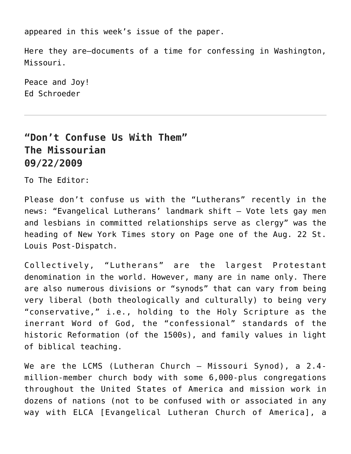appeared in this week's issue of the paper.

Here they are–documents of a time for confessing in Washington, Missouri.

Peace and Joy! Ed Schroeder

## **"Don't Confuse Us With Them" The Missourian 09/22/2009**

To The Editor:

Please don't confuse us with the "Lutherans" recently in the news: "Evangelical Lutherans' landmark shift – Vote lets gay men and lesbians in committed relationships serve as clergy" was the heading of New York Times story on Page one of the Aug. 22 St. Louis Post-Dispatch.

Collectively, "Lutherans" are the largest Protestant denomination in the world. However, many are in name only. There are also numerous divisions or "synods" that can vary from being very liberal (both theologically and culturally) to being very "conservative," i.e., holding to the Holy Scripture as the inerrant Word of God, the "confessional" standards of the historic Reformation (of the 1500s), and family values in light of biblical teaching.

We are the LCMS (Lutheran Church – Missouri Synod), a 2.4 million-member church body with some 6,000-plus congregations throughout the United States of America and mission work in dozens of nations (not to be confused with or associated in any way with ELCA [Evangelical Lutheran Church of America], a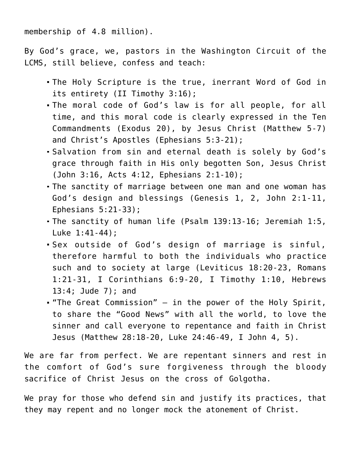membership of 4.8 million).

By God's grace, we, pastors in the Washington Circuit of the LCMS, still believe, confess and teach:

- The Holy Scripture is the true, inerrant Word of God in its entirety (II Timothy 3:16);
- The moral code of God's law is for all people, for all time, and this moral code is clearly expressed in the Ten Commandments (Exodus 20), by Jesus Christ (Matthew 5-7) and Christ's Apostles (Ephesians 5:3-21);
- Salvation from sin and eternal death is solely by God's grace through faith in His only begotten Son, Jesus Christ (John 3:16, Acts 4:12, Ephesians 2:1-10);
- The sanctity of marriage between one man and one woman has God's design and blessings (Genesis 1, 2, John 2:1-11, Ephesians 5:21-33);
- The sanctity of human life (Psalm 139:13-16; Jeremiah 1:5, Luke 1:41-44);
- Sex outside of God's design of marriage is sinful, therefore harmful to both the individuals who practice such and to society at large (Leviticus 18:20-23, Romans 1:21-31, I Corinthians 6:9-20, I Timothy 1:10, Hebrews 13:4; Jude 7); and
- "The Great Commission" in the power of the Holy Spirit, to share the "Good News" with all the world, to love the sinner and call everyone to repentance and faith in Christ Jesus (Matthew 28:18-20, Luke 24:46-49, I John 4, 5).

We are far from perfect. We are repentant sinners and rest in the comfort of God's sure forgiveness through the bloody sacrifice of Christ Jesus on the cross of Golgotha.

We pray for those who defend sin and justify its practices, that they may repent and no longer mock the atonement of Christ.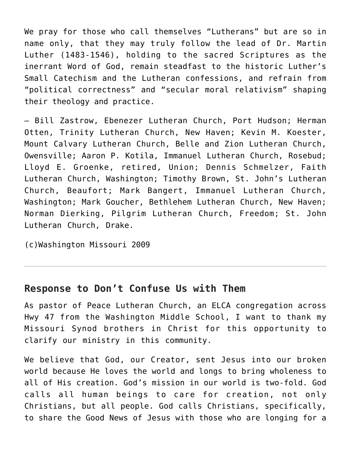We pray for those who call themselves "Lutherans" but are so in name only, that they may truly follow the lead of Dr. Martin Luther (1483-1546), holding to the sacred Scriptures as the inerrant Word of God, remain steadfast to the historic Luther's Small Catechism and the Lutheran confessions, and refrain from "political correctness" and "secular moral relativism" shaping their theology and practice.

– Bill Zastrow, Ebenezer Lutheran Church, Port Hudson; Herman Otten, Trinity Lutheran Church, New Haven; Kevin M. Koester, Mount Calvary Lutheran Church, Belle and Zion Lutheran Church, Owensville; Aaron P. Kotila, Immanuel Lutheran Church, Rosebud; Lloyd E. Groenke, retired, Union; Dennis Schmelzer, Faith Lutheran Church, Washington; Timothy Brown, St. John's Lutheran Church, Beaufort; Mark Bangert, Immanuel Lutheran Church, Washington; Mark Goucher, Bethlehem Lutheran Church, New Haven; Norman Dierking, Pilgrim Lutheran Church, Freedom; St. John Lutheran Church, Drake.

(c)Washington Missouri 2009

## **Response to Don't Confuse Us with Them**

As pastor of Peace Lutheran Church, an ELCA congregation across Hwy 47 from the Washington Middle School, I want to thank my Missouri Synod brothers in Christ for this opportunity to clarify our ministry in this community.

We believe that God, our Creator, sent Jesus into our broken world because He loves the world and longs to bring wholeness to all of His creation. God's mission in our world is two-fold. God calls all human beings to care for creation, not only Christians, but all people. God calls Christians, specifically, to share the Good News of Jesus with those who are longing for a